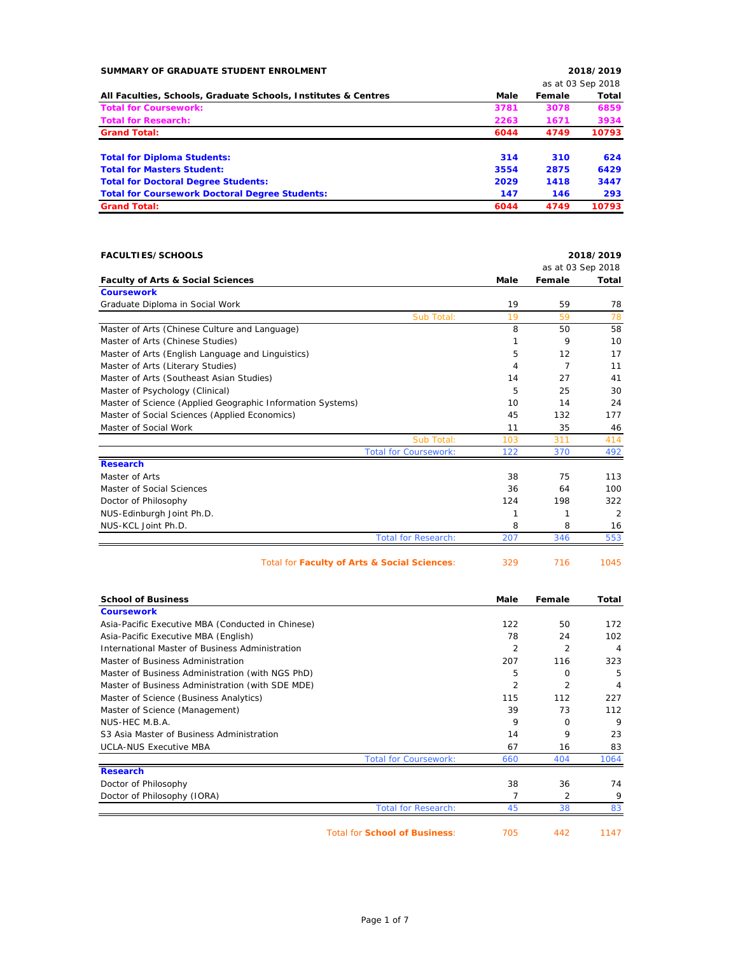| SUMMARY OF GRADUATE STUDENT ENROLMENT                          |      |        | 2018/2019         |
|----------------------------------------------------------------|------|--------|-------------------|
|                                                                |      |        | as at 03 Sep 2018 |
| All Faculties, Schools, Graduate Schools, Institutes & Centres | Male | Female | Total             |
| <b>Total for Coursework:</b>                                   | 3781 | 3078   | 6859              |
| <b>Total for Research:</b>                                     | 2263 | 1671   | 3934              |
| <b>Grand Total:</b>                                            | 6044 | 4749   | 10793             |
| <b>Total for Diploma Students:</b>                             | 314  | 310    | 624               |
| <b>Total for Masters Student:</b>                              | 3554 | 2875   | 6429              |
| <b>Total for Doctoral Degree Students:</b>                     | 2029 | 1418   | 3447              |
| <b>Total for Coursework Doctoral Degree Students:</b>          | 147  | 146    | 293               |
| <b>Grand Total:</b>                                            | 6044 | 4749   | 10793             |

| <b>FACULTIES/SCHOOLS</b>                                   |                              |      |                   | 2018/2019      |
|------------------------------------------------------------|------------------------------|------|-------------------|----------------|
|                                                            |                              |      | as at 03 Sep 2018 |                |
| <b>Faculty of Arts &amp; Social Sciences</b>               |                              | Male | Female            | Total          |
| <b>Coursework</b>                                          |                              |      |                   |                |
| Graduate Diploma in Social Work                            |                              | 19   | 59                | 78             |
|                                                            | Sub Total:                   | 19   | 59                | 78             |
| Master of Arts (Chinese Culture and Language)              |                              | 8    | 50                | 58             |
| Master of Arts (Chinese Studies)                           |                              |      | 9                 | 10             |
| Master of Arts (English Language and Linguistics)          |                              | 5    | 12                | 17             |
| Master of Arts (Literary Studies)                          |                              | 4    | 7                 | 11             |
| Master of Arts (Southeast Asian Studies)                   |                              | 14   | 27                | 41             |
| Master of Psychology (Clinical)                            |                              | 5    | 25                | 30             |
| Master of Science (Applied Geographic Information Systems) |                              | 10   | 14                | 24             |
| Master of Social Sciences (Applied Economics)              |                              | 45   | 132               | 177            |
| Master of Social Work                                      |                              | 11   | 35                | 46             |
|                                                            | Sub Total:                   | 103  | 311               | 414            |
|                                                            | <b>Total for Coursework:</b> | 122  | 370               | 492            |
| <b>Research</b>                                            |                              |      |                   |                |
| Master of Arts                                             |                              | 38   | 75                | 113            |
| Master of Social Sciences                                  |                              | 36   | 64                | 100            |
| Doctor of Philosophy                                       |                              | 124  | 198               | 322            |
| NUS-Edinburgh Joint Ph.D.                                  |                              |      | 1                 | $\overline{2}$ |
| NUS-KCL Joint Ph.D.                                        |                              | 8    | 8                 | 16             |
|                                                            | <b>Total for Research:</b>   | 207  | 346               | 553            |
| <b>Total for Eaculty of Arts &amp; Social Sciences:</b>    |                              | າວດ  | 716               | 1045           |

|  | TOtal for Faculty of Arts & Social Sciences: |  | $\sqrt{10}$ | - 1045 |
|--|----------------------------------------------|--|-------------|--------|
|  |                                              |  |             |        |
|  |                                              |  |             |        |

| <b>School of Business</b>                         | Male | Female         | Total |
|---------------------------------------------------|------|----------------|-------|
| <b>Coursework</b>                                 |      |                |       |
| Asia-Pacific Executive MBA (Conducted in Chinese) | 122  | 50             | 172   |
| Asia-Pacific Executive MBA (English)              | 78   | 24             | 102   |
| International Master of Business Administration   | 2    | 2              | 4     |
| Master of Business Administration                 | 207  | 116            | 323   |
| Master of Business Administration (with NGS PhD)  | 5    | $\Omega$       | 5     |
| Master of Business Administration (with SDE MDE)  | 2    | $\overline{2}$ | 4     |
| Master of Science (Business Analytics)            | 115  | 112            | 227   |
| Master of Science (Management)                    | 39   | 73             | 112   |
| NUS-HEC M.B.A.                                    | 9    | $\Omega$       | 9     |
| S3 Asia Master of Business Administration         | 14   | 9              | 23    |
| <b>UCLA-NUS Executive MBA</b>                     | 67   | 16             | 83    |
| <b>Total for Coursework:</b>                      | 660  | 404            | 1064  |
| <b>Research</b>                                   |      |                |       |
| Doctor of Philosophy                              | 38   | 36             | 74    |
| Doctor of Philosophy (IORA)                       |      | 2              | 9     |
| <b>Total for Research:</b>                        | 45   | 38             | 83    |

Total for **School of Business**: 705 442 1147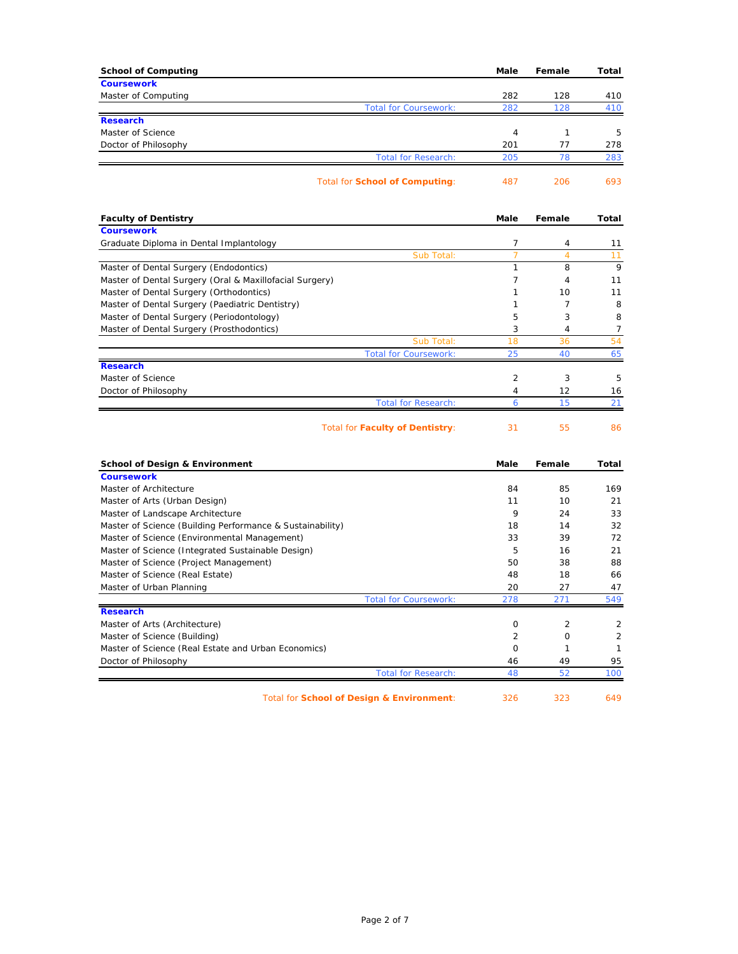| <b>School of Computing</b>                                                                    | Male           | Female         | Total                |
|-----------------------------------------------------------------------------------------------|----------------|----------------|----------------------|
| <b>Coursework</b>                                                                             |                |                |                      |
| Master of Computing<br><b>Total for Coursework:</b>                                           | 282<br>282     | 128<br>128     | 410<br>410           |
| <b>Research</b>                                                                               |                |                |                      |
| Master of Science                                                                             | 4              | $\mathbf{1}$   | 5                    |
| Doctor of Philosophy                                                                          | 201            | 77             | 278                  |
| <b>Total for Research:</b>                                                                    | 205            | 78             | 283                  |
| <b>Total for School of Computing:</b>                                                         | 487            | 206            | 693                  |
| <b>Faculty of Dentistry</b>                                                                   | Male           | Female         | Total                |
| <b>Coursework</b>                                                                             |                |                |                      |
| Graduate Diploma in Dental Implantology                                                       | 7              | 4              | 11                   |
| Sub Total:                                                                                    | 7              | $\overline{4}$ | 11                   |
| Master of Dental Surgery (Endodontics)                                                        | $\mathbf{1}$   | 8              | 9                    |
| Master of Dental Surgery (Oral & Maxillofacial Surgery)                                       | $\overline{7}$ | 4              | 11                   |
| Master of Dental Surgery (Orthodontics)                                                       | 1              | 10             | 11                   |
| Master of Dental Surgery (Paediatric Dentistry)                                               | 1              | 7              | 8                    |
| Master of Dental Surgery (Periodontology)                                                     | 5              | 3              | 8                    |
| Master of Dental Surgery (Prosthodontics)                                                     | 3<br>18        | 4<br>36        | $\overline{7}$<br>54 |
| Sub Total:<br><b>Total for Coursework:</b>                                                    | 25             | 40             | 65                   |
| <b>Research</b>                                                                               |                |                |                      |
| Master of Science                                                                             | $\overline{2}$ | 3              | 5                    |
| Doctor of Philosophy                                                                          | 4              | 12             | 16                   |
| <b>Total for Research:</b>                                                                    | 6              | 15             | 21                   |
| <b>Total for Faculty of Dentistry:</b>                                                        | 31             | 55             | 86                   |
| <b>School of Design &amp; Environment</b>                                                     | <b>Male</b>    | Female         | <b>Total</b>         |
| <b>Coursework</b>                                                                             |                |                |                      |
| Master of Architecture                                                                        | 84             | 85             | 169                  |
| Master of Arts (Urban Design)                                                                 | 11<br>9        | 10             | 21<br>33             |
| Master of Landscape Architecture<br>Master of Science (Building Performance & Sustainability) | 18             | 24<br>14       | 32                   |
| Master of Science (Environmental Management)                                                  | 33             | 39             | 72                   |
| Master of Science (Integrated Sustainable Design)                                             | 5              | 16             | 21                   |
| Master of Science (Project Management)                                                        | 50             | 38             | 88                   |
| Master of Science (Real Estate)                                                               | 48             | 18             | 66                   |
| Master of Urban Planning                                                                      | 20             | 27             | 47                   |
| <b>Total for Coursework:</b>                                                                  | 278            | 271            | 549                  |
| <b>Research</b>                                                                               |                |                |                      |
| Master of Arts (Architecture)                                                                 | $\mathbf 0$    | 2              | 2                    |
| Master of Science (Building)                                                                  | $\overline{2}$ | $\circ$        | $\overline{2}$       |
| Master of Science (Real Estate and Urban Economics)                                           | $\mathbf 0$    | 1              | 1                    |
| Doctor of Philosophy                                                                          | 46             | 49             | 95                   |
| <b>Total for Research:</b>                                                                    | 48             | 52             | 100                  |

Total for **School of Design & Environment**: 326 323 649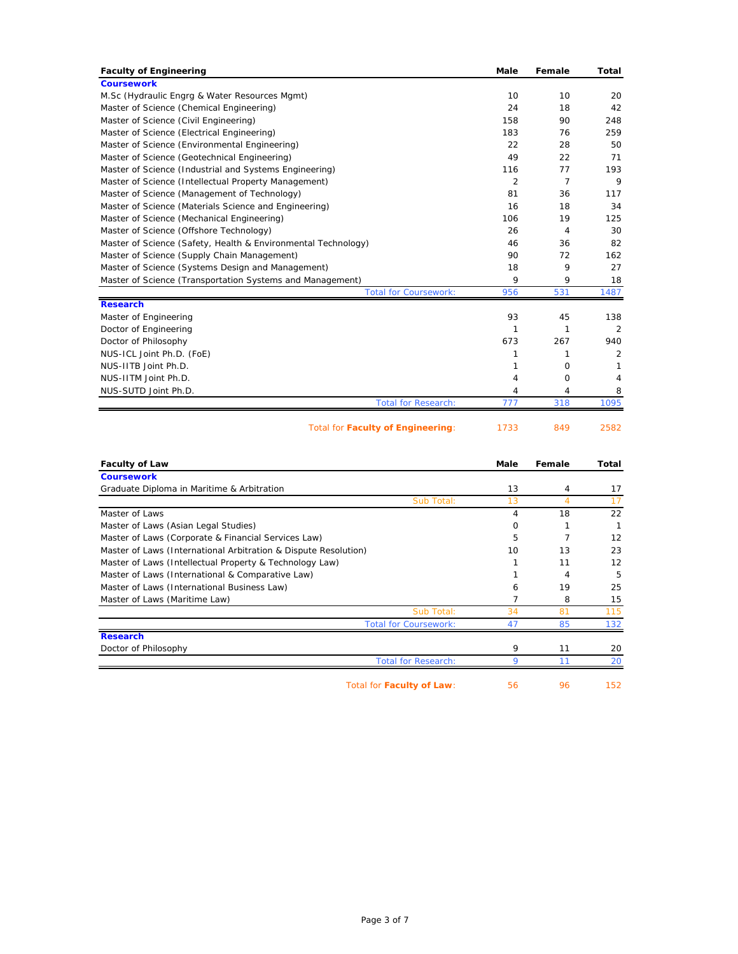| <b>Faculty of Engineering</b>                                 | Male | Female   | Total |
|---------------------------------------------------------------|------|----------|-------|
| <b>Coursework</b>                                             |      |          |       |
| M.Sc (Hydraulic Engrg & Water Resources Mgmt)                 | 10   | 10       | 20    |
| Master of Science (Chemical Engineering)                      | 24   | 18       | 42    |
| Master of Science (Civil Engineering)                         | 158  | 90       | 248   |
| Master of Science (Electrical Engineering)                    | 183  | 76       | 259   |
| Master of Science (Environmental Engineering)                 | 22   | 28       | 50    |
| Master of Science (Geotechnical Engineering)                  | 49   | 22       | 71    |
| Master of Science (Industrial and Systems Engineering)        | 116  | 77       | 193   |
| Master of Science (Intellectual Property Management)          | 2    | 7        | 9     |
| Master of Science (Management of Technology)                  | 81   | 36       | 117   |
| Master of Science (Materials Science and Engineering)         | 16   | 18       | 34    |
| Master of Science (Mechanical Engineering)                    | 106  | 19       | 125   |
| Master of Science (Offshore Technology)                       | 26   | 4        | 30    |
| Master of Science (Safety, Health & Environmental Technology) | 46   | 36       | 82    |
| Master of Science (Supply Chain Management)                   | 90   | 72       | 162   |
| Master of Science (Systems Design and Management)             | 18   | 9        | 27    |
| Master of Science (Transportation Systems and Management)     | 9    | 9        | 18    |
| <b>Total for Coursework:</b>                                  | 956  | 531      | 1487  |
| <b>Research</b>                                               |      |          |       |
| Master of Engineering                                         | 93   | 45       | 138   |
| Doctor of Engineering                                         | 1    | 1        | 2     |
| Doctor of Philosophy                                          | 673  | 267      | 940   |
| NUS-ICL Joint Ph.D. (FoE)                                     | 1    | 1        | 2     |
| NUS-IITB Joint Ph.D.                                          | 1    | 0        | 1     |
| NUS-IITM Joint Ph.D.                                          | 4    | $\Omega$ | 4     |
| NUS-SUTD Joint Ph.D.                                          | 4    | 4        | 8     |
| <b>Total for Research:</b>                                    | 777  | 318      | 1095  |
| <b>Total for Faculty of Engineering:</b>                      | 1733 | 849      | 2582  |
|                                                               |      |          |       |

| <b>Faculty of Law</b>                                           | Male     | Female         | Total |
|-----------------------------------------------------------------|----------|----------------|-------|
| <b>Coursework</b>                                               |          |                |       |
| Graduate Diploma in Maritime & Arbitration                      | 13       | 4              | 17    |
| Sub Total:                                                      | 13       | $\overline{4}$ | 17    |
| Master of Laws                                                  | 4        | 18             | 22    |
| Master of Laws (Asian Legal Studies)                            | $\Omega$ |                |       |
| Master of Laws (Corporate & Financial Services Law)             | 5        | 7              | 12    |
| Master of Laws (International Arbitration & Dispute Resolution) | 10       | 13             | 23    |
| Master of Laws (Intellectual Property & Technology Law)         |          | 11             | 12    |
| Master of Laws (International & Comparative Law)                |          | 4              | 5     |
| Master of Laws (International Business Law)                     | 6        | 19             | 25    |
| Master of Laws (Maritime Law)                                   |          | 8              | 15    |
| Sub Total:                                                      | 34       | 81             | 115   |
| <b>Total for Coursework:</b>                                    | 47       | 85             | 132   |
| <b>Research</b>                                                 |          |                |       |
| Doctor of Philosophy                                            | 9        | 11             | 20    |
| <b>Total for Research:</b>                                      | 9        | 11             | 20    |
| Total for <b>Faculty of Law:</b>                                | 56       | 96             | 152   |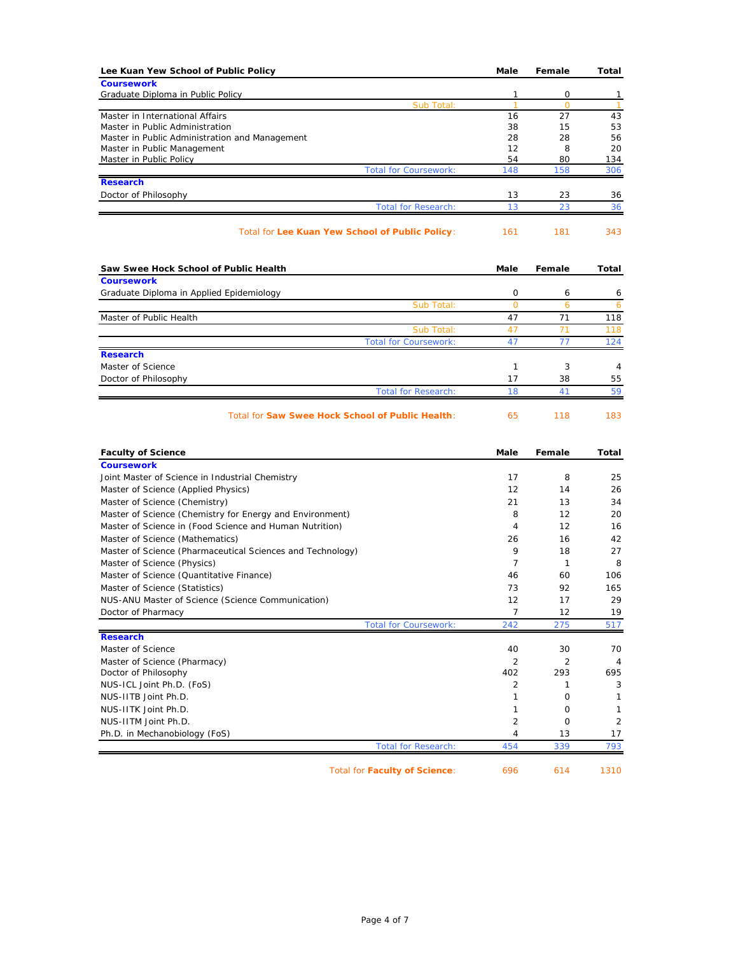| Lee Kuan Yew School of Public Policy                               | Male         | Female         | Total          |
|--------------------------------------------------------------------|--------------|----------------|----------------|
| <b>Coursework</b>                                                  |              |                |                |
| Graduate Diploma in Public Policy                                  | 1            | 0              | 1              |
| Sub Total:                                                         | $\mathbf{1}$ | $\overline{0}$ | $\overline{1}$ |
| Master in International Affairs<br>Master in Public Administration | 16<br>38     | 27<br>15       | 43<br>53       |
| Master in Public Administration and Management                     | 28           | 28             | 56             |
| Master in Public Management                                        | 12           | 8              | 20             |
| <b>Master in Public Policy</b>                                     | 54           | 80             | 134            |
| <b>Total for Coursework:</b>                                       | 148          | 158            | 306            |
| <b>Research</b>                                                    |              |                |                |
| Doctor of Philosophy                                               | 13           | 23             | 36             |
| <b>Total for Research:</b>                                         | 13           | 23             | 36             |
| Total for Lee Kuan Yew School of Public Policy:                    | 161          | 181            | 343            |
| Saw Swee Hock School of Public Health                              | Male         | Female         | Total          |
| <b>Coursework</b>                                                  |              |                |                |
| Graduate Diploma in Applied Epidemiology                           | 0            | 6              | 6              |
| Sub Total:                                                         | $\circ$      | 6              | 6              |
| Master of Public Health<br>Sub Total:                              | 47<br>47     | 71<br>71       | 118<br>118     |
| <b>Total for Coursework:</b>                                       | 47           | 77             | 124            |
| <b>Research</b>                                                    |              |                |                |
| Master of Science                                                  | $\mathbf{1}$ | 3              | 4              |
| Doctor of Philosophy                                               | 17           | 38             | 55             |
| <b>Total for Research:</b>                                         | 18           | 41             | 59             |
| <b>Faculty of Science</b>                                          | Male         | Female         | Total          |
| <b>Coursework</b>                                                  |              |                |                |
| Joint Master of Science in Industrial Chemistry                    | 17           | 8              | 25             |
| Master of Science (Applied Physics)                                | 12           | 14             | 26             |
| Master of Science (Chemistry)                                      | 21           | 13             | 34             |
| Master of Science (Chemistry for Energy and Environment)           | 8            | 12             | 20             |
| Master of Science in (Food Science and Human Nutrition)            | 4            | 12             | 16             |
| Master of Science (Mathematics)                                    | 26           | 16             | 42             |
| Master of Science (Pharmaceutical Sciences and Technology)         | 9            | 18             | 27             |
| Master of Science (Physics)                                        | 7            | $\mathbf{1}$   | 8              |
| Master of Science (Quantitative Finance)                           | 46           | 60             | 106            |
| Master of Science (Statistics)                                     | 73           | 92             | 165            |
| NUS-ANU Master of Science (Science Communication)                  | 12           | 17             | 29             |
| Doctor of Pharmacy                                                 | 7            | 12             | 19             |
| <b>Total for Coursework:</b><br><b>Research</b>                    | 242          | 275            | 517            |
| Master of Science                                                  | 40           | 30             | 70             |
| Master of Science (Pharmacy)                                       | 2            | 2              | 4              |
| Doctor of Philosophy                                               | 402          | 293            | 695            |
| NUS-ICL Joint Ph.D. (FoS)                                          | 2            | 1              | 3              |
| NUS-IITB Joint Ph.D.                                               | $\mathbf{1}$ | 0              | 1              |
| NUS-IITK Joint Ph.D.                                               | 1            | $\mathbf 0$    | $\mathbf{1}$   |
| NUS-IITM Joint Ph.D.                                               | 2            | 0              | 2              |
| Ph.D. in Mechanobiology (FoS)                                      | 4            | 13             | 17             |
| <b>Total for Research:</b>                                         | 454          | 339            | 793            |
| <b>Total for Faculty of Science:</b>                               | 696          | 614            | 1310           |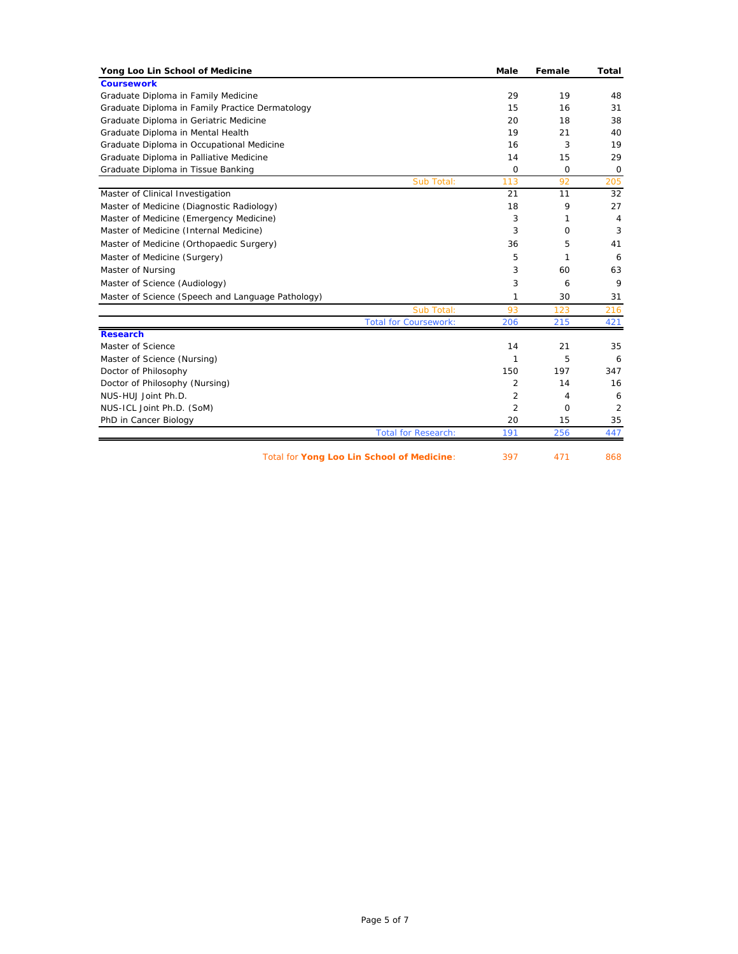| Yong Loo Lin School of Medicine                   | <b>Male</b>    | Female      | Total       |
|---------------------------------------------------|----------------|-------------|-------------|
| <b>Coursework</b>                                 |                |             |             |
| Graduate Diploma in Family Medicine               | 29             | 19          | 48          |
| Graduate Diploma in Family Practice Dermatology   | 15             | 16          | 31          |
| Graduate Diploma in Geriatric Medicine            | 20             | 18          | 38          |
| Graduate Diploma in Mental Health                 | 19             | 21          | 40          |
| Graduate Diploma in Occupational Medicine         | 16             | 3           | 19          |
| Graduate Diploma in Palliative Medicine           | 14             | 15          | 29          |
| Graduate Diploma in Tissue Banking                | $\Omega$       | $\mathbf 0$ | $\mathbf 0$ |
| Sub Total:                                        | 113            | 92          | 205         |
| Master of Clinical Investigation                  | 21             | 11          | 32          |
| Master of Medicine (Diagnostic Radiology)         | 18             | 9           | 27          |
| Master of Medicine (Emergency Medicine)           | 3              | 1           | 4           |
| Master of Medicine (Internal Medicine)            | 3              | $\Omega$    | 3           |
| Master of Medicine (Orthopaedic Surgery)          | 36             | 5           | 41          |
| Master of Medicine (Surgery)                      | 5              | 1           | 6           |
| Master of Nursing                                 | 3              | 60          | 63          |
| Master of Science (Audiology)                     | 3              | 6           | 9           |
| Master of Science (Speech and Language Pathology) | 1              | 30          | 31          |
| Sub Total:                                        | 93             | 123         | 216         |
| <b>Total for Coursework:</b>                      | 206            | 215         | 421         |
| <b>Research</b>                                   |                |             |             |
| Master of Science                                 | 14             | 21          | 35          |
| Master of Science (Nursing)                       | 1              | 5           | 6           |
| Doctor of Philosophy                              | 150            | 197         | 347         |
| Doctor of Philosophy (Nursing)                    | 2              | 14          | 16          |
| NUS-HUJ Joint Ph.D.                               | $\overline{2}$ | 4           | 6           |
| NUS-ICL Joint Ph.D. (SoM)                         | 2              | 0           | 2           |
| PhD in Cancer Biology                             | 20             | 15          | 35          |
| <b>Total for Research:</b>                        | 191            | 256         | 447         |
| Total for Yong Loo Lin School of Medicine:        | 397            | 471         | 868         |

Page 5 of 7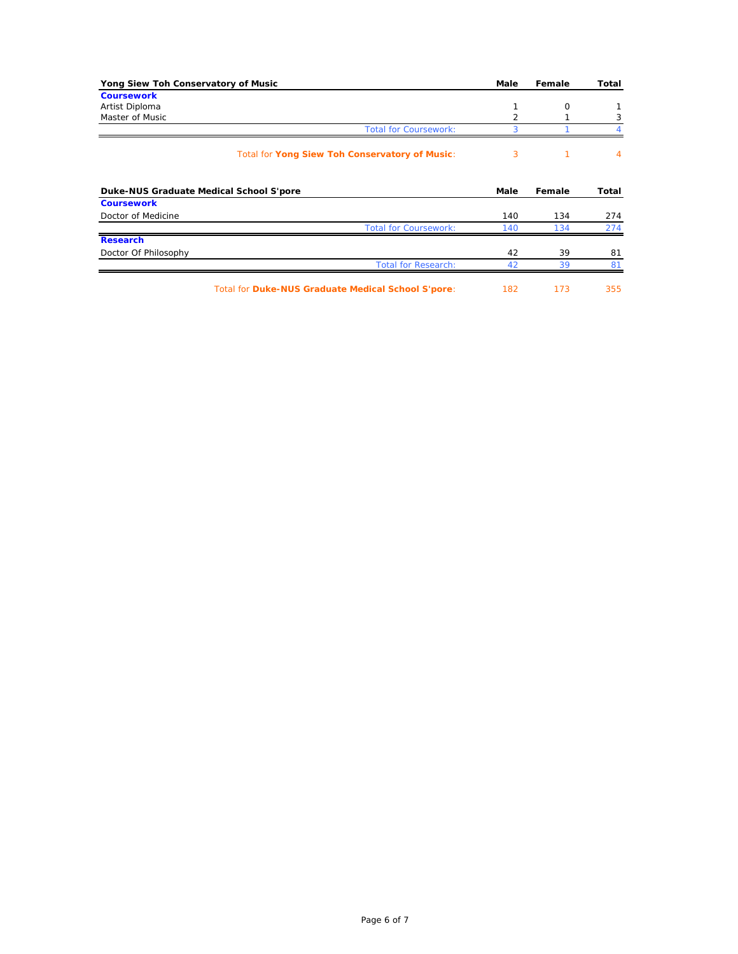|                                     | Female                                                                                   | Total                          |
|-------------------------------------|------------------------------------------------------------------------------------------|--------------------------------|
|                                     |                                                                                          |                                |
| 1                                   | O                                                                                        |                                |
|                                     |                                                                                          | 3                              |
|                                     |                                                                                          |                                |
|                                     | 1                                                                                        | $\overline{4}$                 |
|                                     | Female                                                                                   | Total                          |
|                                     |                                                                                          |                                |
|                                     |                                                                                          |                                |
| 140                                 | 134                                                                                      | 274                            |
| <b>Total for Coursework:</b><br>140 | 134                                                                                      | 274                            |
|                                     |                                                                                          |                                |
| 42                                  | 39                                                                                       | 81                             |
|                                     | <b>Total for Coursework:</b><br>3<br>3<br>Total for Yong Siew Toh Conservatory of Music: | Male<br>$\overline{2}$<br>Male |

Total for **Duke-NUS Graduate Medical School S'pore**: 182 173 355